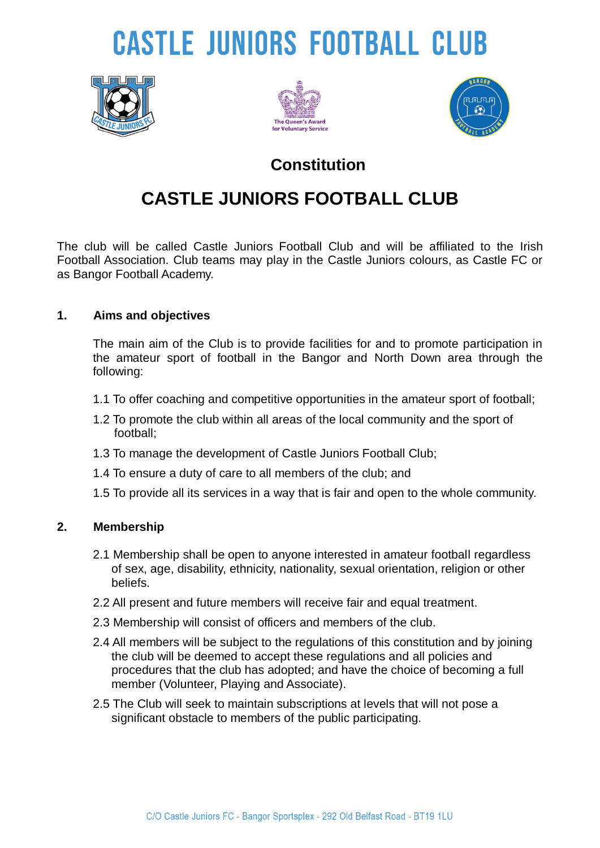# **CASTLE JUNIORS FOOTBALL CLUB**







### **Constitution**

## **CASTLE JUNIORS FOOTBALL CLUB**

The club will be called Castle Juniors Football Club and will be affiliated to the Irish Football Association. Club teams may play in the Castle Juniors colours, as Castle FC or as Bangor Football Academy.

#### **1. Aims and objectives**

The main aim of the Club is to provide facilities for and to promote participation in the amateur sport of football in the Bangor and North Down area through the following:

- 1.1 To offer coaching and competitive opportunities in the amateur sport of football;
- 1.2 To promote the club within all areas of the local community and the sport of football;
- 1.3 To manage the development of Castle Juniors Football Club;
- 1.4 To ensure a duty of care to all members of the club; and
- 1.5 To provide all its services in a way that is fair and open to the whole community.

#### **2. Membership**

- 2.1 Membership shall be open to anyone interested in amateur football regardless of sex, age, disability, ethnicity, nationality, sexual orientation, religion or other beliefs.
- 2.2 All present and future members will receive fair and equal treatment.
- 2.3 Membership will consist of officers and members of the club.
- 2.4 All members will be subject to the regulations of this constitution and by joining the club will be deemed to accept these regulations and all policies and procedures that the club has adopted; and have the choice of becoming a full member (Volunteer, Playing and Associate).
- 2.5 The Club will seek to maintain subscriptions at levels that will not pose a significant obstacle to members of the public participating.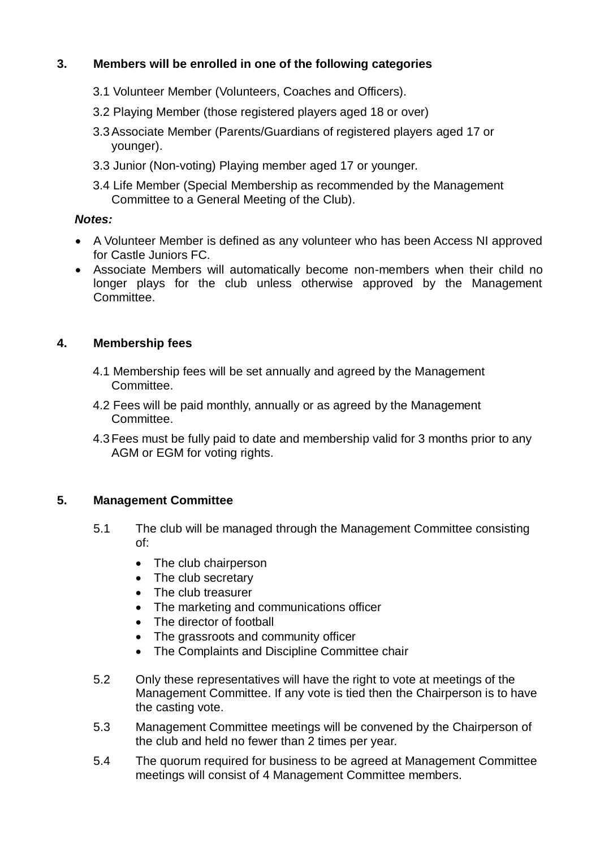#### **3. Members will be enrolled in one of the following categories**

- 3.1 Volunteer Member (Volunteers, Coaches and Officers).
- 3.2 Playing Member (those registered players aged 18 or over)
- 3.3Associate Member (Parents/Guardians of registered players aged 17 or younger).
- 3.3 Junior (Non-voting) Playing member aged 17 or younger.
- 3.4 Life Member (Special Membership as recommended by the Management Committee to a General Meeting of the Club).

#### *Notes:*

- A Volunteer Member is defined as any volunteer who has been Access NI approved for Castle Juniors FC.
- Associate Members will automatically become non-members when their child no longer plays for the club unless otherwise approved by the Management Committee.

#### **4. Membership fees**

- 4.1 Membership fees will be set annually and agreed by the Management Committee.
- 4.2 Fees will be paid monthly, annually or as agreed by the Management Committee.
- 4.3Fees must be fully paid to date and membership valid for 3 months prior to any AGM or EGM for voting rights.

#### **5. Management Committee**

- 5.1 The club will be managed through the Management Committee consisting of:
	- The club chairperson
	- The club secretary
	- The club treasurer
	- The marketing and communications officer
	- The director of football
	- The grassroots and community officer
	- The Complaints and Discipline Committee chair
- 5.2 Only these representatives will have the right to vote at meetings of the Management Committee. If any vote is tied then the Chairperson is to have the casting vote.
- 5.3 Management Committee meetings will be convened by the Chairperson of the club and held no fewer than 2 times per year.
- 5.4 The quorum required for business to be agreed at Management Committee meetings will consist of 4 Management Committee members.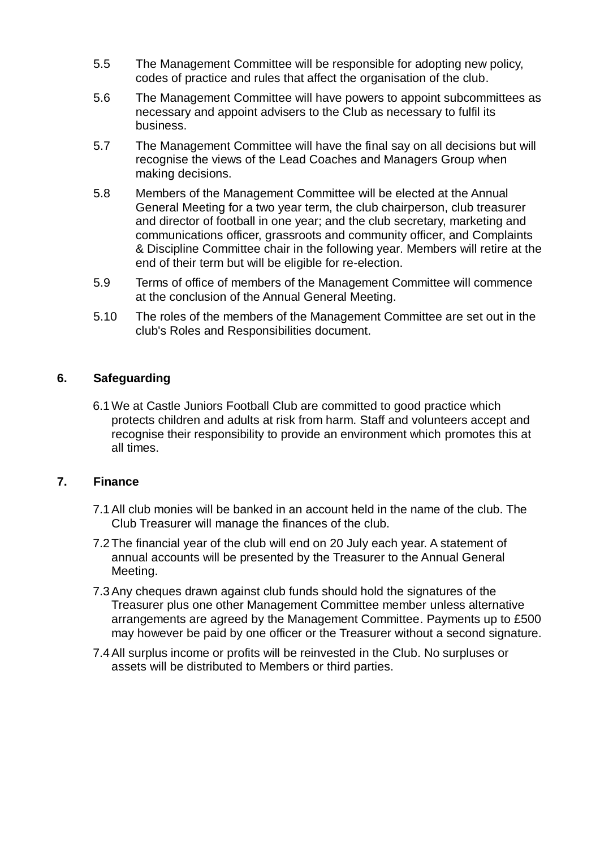- 5.5 The Management Committee will be responsible for adopting new policy, codes of practice and rules that affect the organisation of the club.
- 5.6 The Management Committee will have powers to appoint subcommittees as necessary and appoint advisers to the Club as necessary to fulfil its business.
- 5.7 The Management Committee will have the final say on all decisions but will recognise the views of the Lead Coaches and Managers Group when making decisions.
- 5.8 Members of the Management Committee will be elected at the Annual General Meeting for a two year term, the club chairperson, club treasurer and director of football in one year; and the club secretary, marketing and communications officer, grassroots and community officer, and Complaints & Discipline Committee chair in the following year. Members will retire at the end of their term but will be eligible for re-election.
- 5.9 Terms of office of members of the Management Committee will commence at the conclusion of the Annual General Meeting.
- 5.10 The roles of the members of the Management Committee are set out in the club's Roles and Responsibilities document.

#### **6. Safeguarding**

6.1We at Castle Juniors Football Club are committed to good practice which protects children and adults at risk from harm. Staff and volunteers accept and recognise their responsibility to provide an environment which promotes this at all times.

#### **7. Finance**

- 7.1All club monies will be banked in an account held in the name of the club. The Club Treasurer will manage the finances of the club.
- 7.2The financial year of the club will end on 20 July each year. A statement of annual accounts will be presented by the Treasurer to the Annual General Meeting.
- 7.3Any cheques drawn against club funds should hold the signatures of the Treasurer plus one other Management Committee member unless alternative arrangements are agreed by the Management Committee. Payments up to £500 may however be paid by one officer or the Treasurer without a second signature.
- 7.4All surplus income or profits will be reinvested in the Club. No surpluses or assets will be distributed to Members or third parties.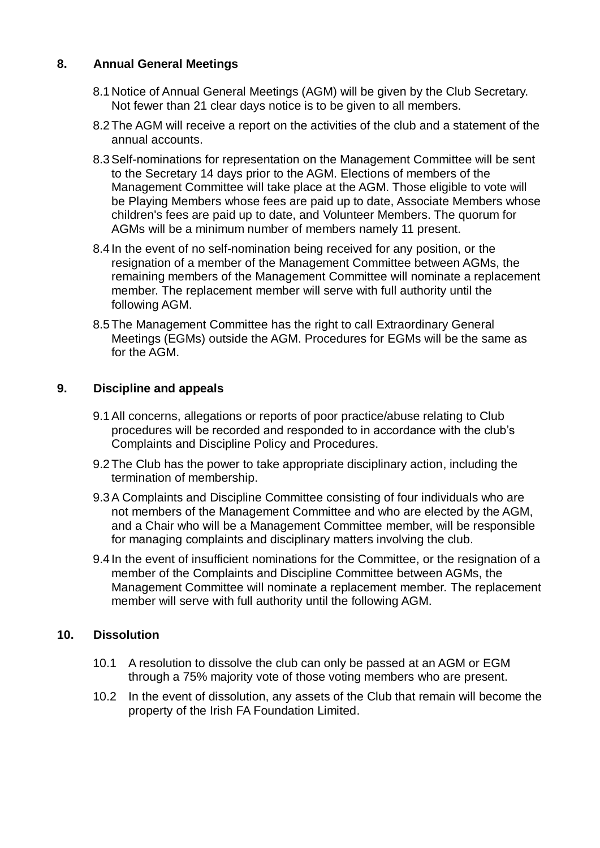#### **8. Annual General Meetings**

- 8.1 Notice of Annual General Meetings (AGM) will be given by the Club Secretary. Not fewer than 21 clear days notice is to be given to all members.
- 8.2The AGM will receive a report on the activities of the club and a statement of the annual accounts.
- 8.3Self-nominations for representation on the Management Committee will be sent to the Secretary 14 days prior to the AGM. Elections of members of the Management Committee will take place at the AGM. Those eligible to vote will be Playing Members whose fees are paid up to date, Associate Members whose children's fees are paid up to date, and Volunteer Members. The quorum for AGMs will be a minimum number of members namely 11 present.
- 8.4 In the event of no self-nomination being received for any position, or the resignation of a member of the Management Committee between AGMs, the remaining members of the Management Committee will nominate a replacement member. The replacement member will serve with full authority until the following AGM.
- 8.5The Management Committee has the right to call Extraordinary General Meetings (EGMs) outside the AGM. Procedures for EGMs will be the same as for the AGM.

#### **9. Discipline and appeals**

- 9.1All concerns, allegations or reports of poor practice/abuse relating to Club procedures will be recorded and responded to in accordance with the club's Complaints and Discipline Policy and Procedures.
- 9.2The Club has the power to take appropriate disciplinary action, including the termination of membership.
- 9.3A Complaints and Discipline Committee consisting of four individuals who are not members of the Management Committee and who are elected by the AGM, and a Chair who will be a Management Committee member, will be responsible for managing complaints and disciplinary matters involving the club.
- 9.4 In the event of insufficient nominations for the Committee, or the resignation of a member of the Complaints and Discipline Committee between AGMs, the Management Committee will nominate a replacement member. The replacement member will serve with full authority until the following AGM.

#### **10. Dissolution**

- 10.1 A resolution to dissolve the club can only be passed at an AGM or EGM through a 75% majority vote of those voting members who are present.
- 10.2 In the event of dissolution, any assets of the Club that remain will become the property of the Irish FA Foundation Limited.